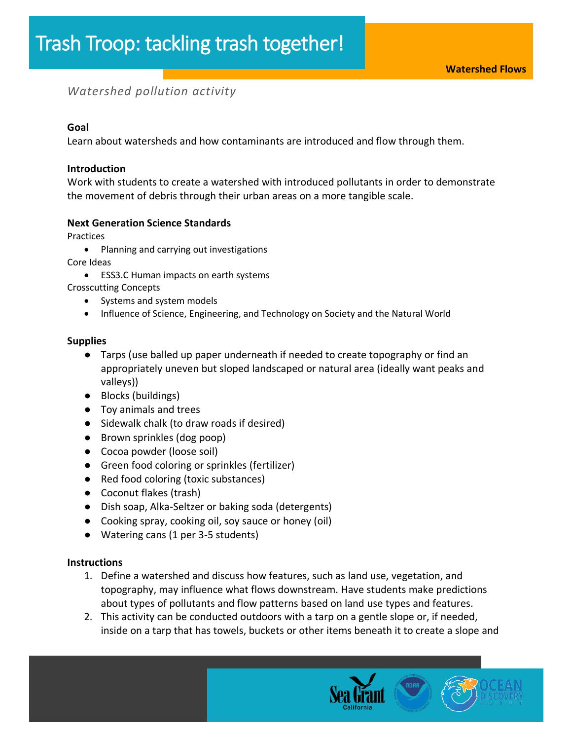# *Watershed pollution activity*

# **Goal**

Learn about watersheds and how contaminants are introduced and flow through them.

# **Introduction**

Work with students to create a watershed with introduced pollutants in order to demonstrate the movement of debris through their urban areas on a more tangible scale.

# **Next Generation Science Standards**

Practices

• Planning and carrying out investigations

Core Ideas

- ESS3.C Human impacts on earth systems
- Crosscutting Concepts
	- Systems and system models
	- Influence of Science, Engineering, and Technology on Society and the Natural World

#### **Supplies**

- Tarps (use balled up paper underneath if needed to create topography or find an appropriately uneven but sloped landscaped or natural area (ideally want peaks and valleys))
- Blocks (buildings)
- Toy animals and trees
- Sidewalk chalk (to draw roads if desired)
- Brown sprinkles (dog poop)
- Cocoa powder (loose soil)
- Green food coloring or sprinkles (fertilizer)
- Red food coloring (toxic substances)
- Coconut flakes (trash)
- Dish soap, Alka-Seltzer or baking soda (detergents)
- Cooking spray, cooking oil, soy sauce or honey (oil)
- Watering cans (1 per 3-5 students)

#### **Instructions**

- 1. Define a watershed and discuss how features, such as land use, vegetation, and topography, may influence what flows downstream. Have students make predictions about types of pollutants and flow patterns based on land use types and features.
- 2. This activity can be conducted outdoors with a tarp on a gentle slope or, if needed, inside on a tarp that has towels, buckets or other items beneath it to create a slope and

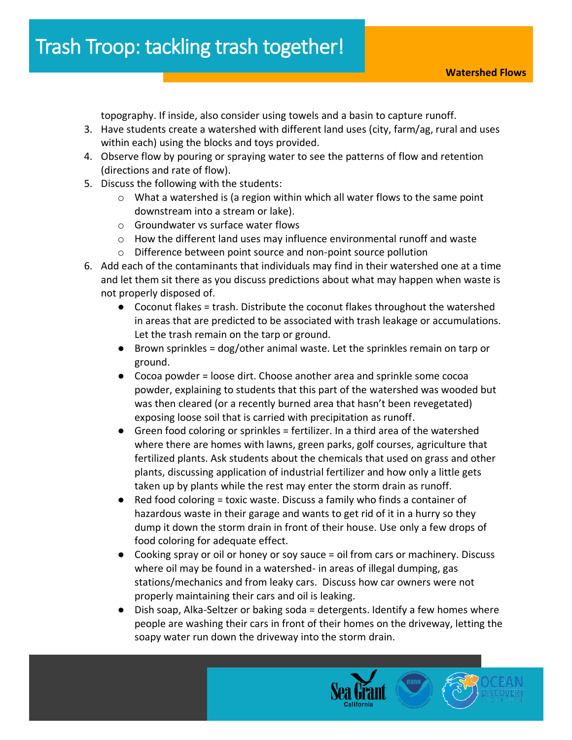topography. If inside, also consider using towels and a basin to capture runoff.

- 3. Have students create a watershed with different land uses (city, farm/ag, rural and uses within each) using the blocks and toys provided.
- 4. Observe flow by pouring or spraying water to see the patterns of flow and retention (directions and rate of flow).
- 5. Discuss the following with the students:
	- $\circ$  What a watershed is (a region within which all water flows to the same point downstream into a stream or lake).
	- o Groundwater vs surface water flows
	- $\circ$  How the different land uses may influence environmental runoff and waste
	- o Difference between point source and non-point source pollution
- 6. Add each of the contaminants that individuals may find in their watershed one at a time and let them sit there as you discuss predictions about what may happen when waste is not properly disposed of.
	- Coconut flakes = trash. Distribute the coconut flakes throughout the watershed in areas that are predicted to be associated with trash leakage or accumulations. Let the trash remain on the tarp or ground.
	- Brown sprinkles = dog/other animal waste. Let the sprinkles remain on tarp or ground.
	- Cocoa powder = loose dirt. Choose another area and sprinkle some cocoa powder, explaining to students that this part of the watershed was wooded but was then cleared (or a recently burned area that hasn't been revegetated) exposing loose soil that is carried with precipitation as runoff.
	- Green food coloring or sprinkles = fertilizer. In a third area of the watershed where there are homes with lawns, green parks, golf courses, agriculture that fertilized plants. Ask students about the chemicals that used on grass and other plants, discussing application of industrial fertilizer and how only a little gets taken up by plants while the rest may enter the storm drain as runoff.
	- Red food coloring = toxic waste. Discuss a family who finds a container of hazardous waste in their garage and wants to get rid of it in a hurry so they dump it down the storm drain in front of their house. Use only a few drops of food coloring for adequate effect.
	- Cooking spray or oil or honey or soy sauce = oil from cars or machinery. Discuss where oil may be found in a watershed- in areas of illegal dumping, gas stations/mechanics and from leaky cars. Discuss how car owners were not properly maintaining their cars and oil is leaking.
	- Dish soap, Alka-Seltzer or baking soda = detergents. Identify a few homes where people are washing their cars in front of their homes on the driveway, letting the soapy water run down the driveway into the storm drain.